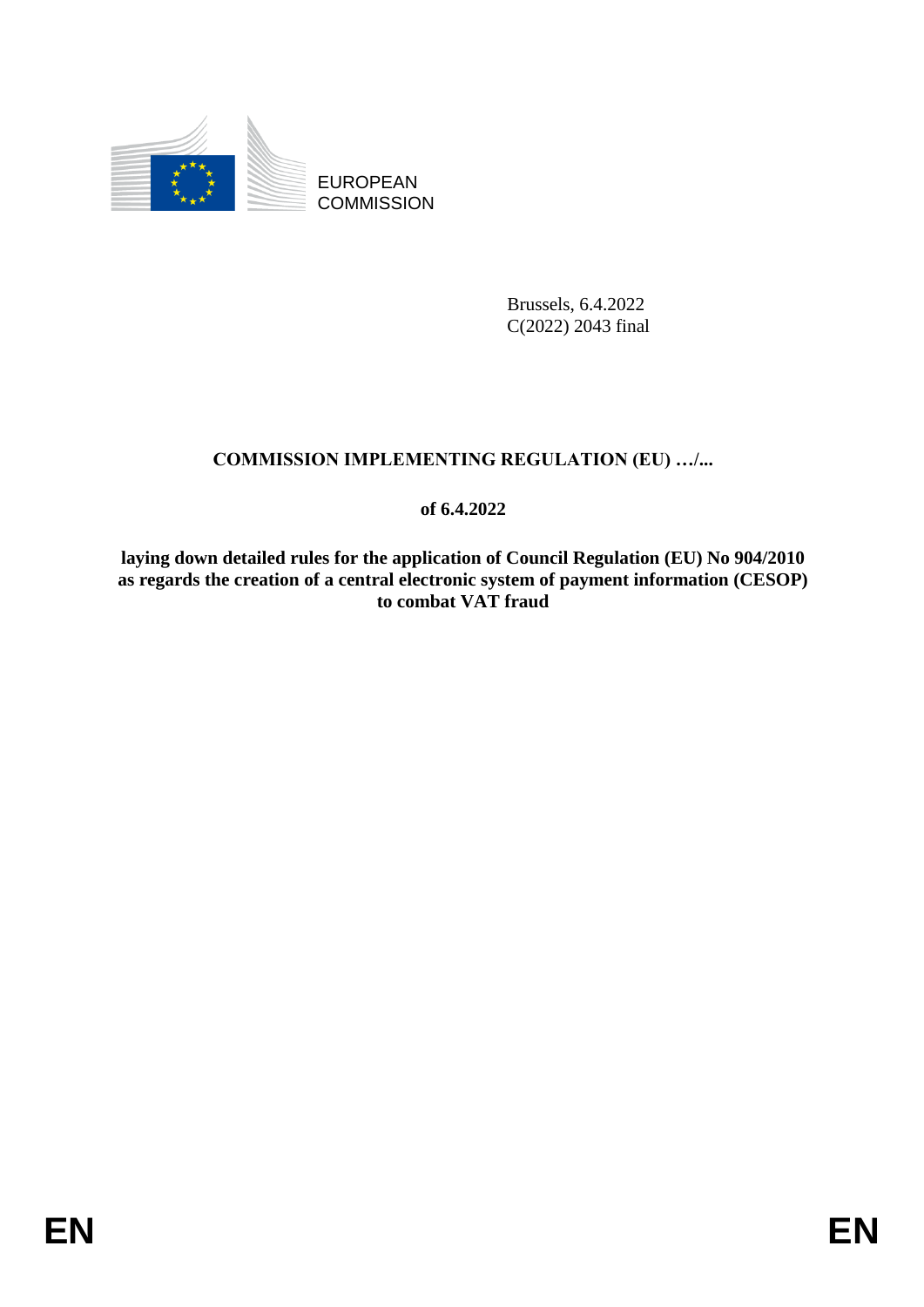

EUROPEAN **COMMISSION** 

> Brussels, 6.4.2022 C(2022) 2043 final

# **COMMISSION IMPLEMENTING REGULATION (EU) …/...**

**of 6.4.2022**

**laying down detailed rules for the application of Council Regulation (EU) No 904/2010 as regards the creation of a central electronic system of payment information (CESOP) to combat VAT fraud**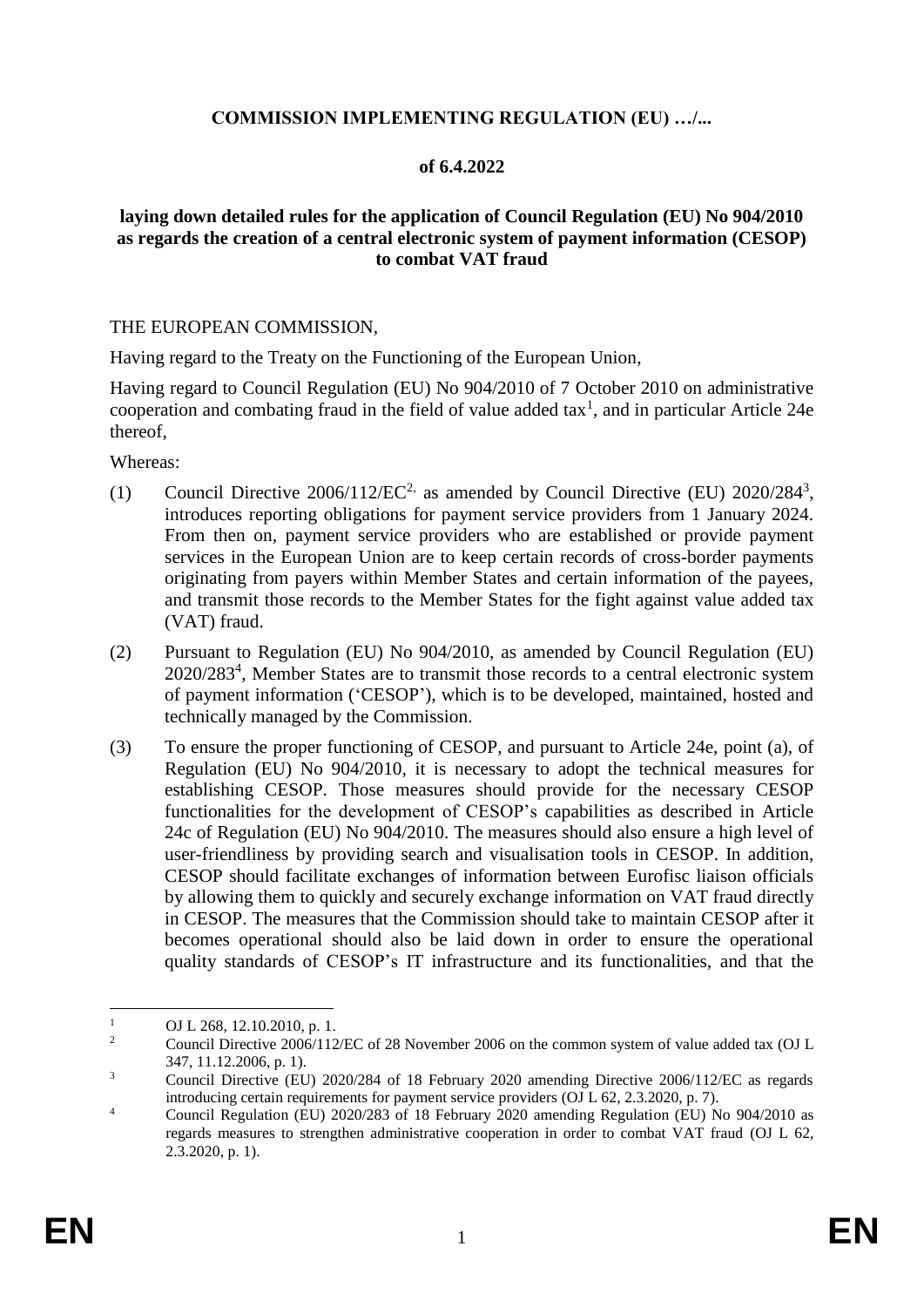# **COMMISSION IMPLEMENTING REGULATION (EU) …/...**

### **of 6.4.2022**

### **laying down detailed rules for the application of Council Regulation (EU) No 904/2010 as regards the creation of a central electronic system of payment information (CESOP) to combat VAT fraud**

#### THE EUROPEAN COMMISSION,

Having regard to the Treaty on the Functioning of the European Union,

Having regard to Council Regulation (EU) No 904/2010 of 7 October 2010 on administrative cooperation and combating fraud in the field of value added  $\text{tax}^1$ , and in particular Article 24e thereof,

Whereas:

- (1) Council Directive  $2006/112/EC^2$  as amended by Council Directive (EU)  $2020/284^3$ , introduces reporting obligations for payment service providers from 1 January 2024. From then on, payment service providers who are established or provide payment services in the European Union are to keep certain records of cross-border payments originating from payers within Member States and certain information of the payees, and transmit those records to the Member States for the fight against value added tax (VAT) fraud.
- (2) Pursuant to Regulation (EU) No 904/2010, as amended by Council Regulation (EU) 2020/283<sup>4</sup> , Member States are to transmit those records to a central electronic system of payment information ('CESOP'), which is to be developed, maintained, hosted and technically managed by the Commission.
- (3) To ensure the proper functioning of CESOP, and pursuant to Article 24e, point (a), of Regulation (EU) No 904/2010, it is necessary to adopt the technical measures for establishing CESOP. Those measures should provide for the necessary CESOP functionalities for the development of CESOP's capabilities as described in Article 24c of Regulation (EU) No 904/2010. The measures should also ensure a high level of user-friendliness by providing search and visualisation tools in CESOP. In addition, CESOP should facilitate exchanges of information between Eurofisc liaison officials by allowing them to quickly and securely exchange information on VAT fraud directly in CESOP. The measures that the Commission should take to maintain CESOP after it becomes operational should also be laid down in order to ensure the operational quality standards of CESOP's IT infrastructure and its functionalities, and that the

1

<sup>&</sup>lt;sup>1</sup> OJ L 268, 12.10.2010, p. 1.<br>Council Directive 2006/112

<sup>2</sup> Council Directive 2006/112/EC of 28 November 2006 on the common system of value added tax (OJ L 347, 11.12.2006, p. 1).

<sup>&</sup>lt;sup>3</sup> Council Directive (EU) 2020/284 of 18 February 2020 amending Directive 2006/112/EC as regards introducing certain requirements for payment service providers (OJ L 62, 2.3.2020, p. 7).

<sup>&</sup>lt;sup>4</sup> Council Regulation (EU) 2020/283 of 18 February 2020 amending Regulation (EU) No 904/2010 as regards measures to strengthen administrative cooperation in order to combat VAT fraud (OJ L 62, 2.3.2020, p. 1).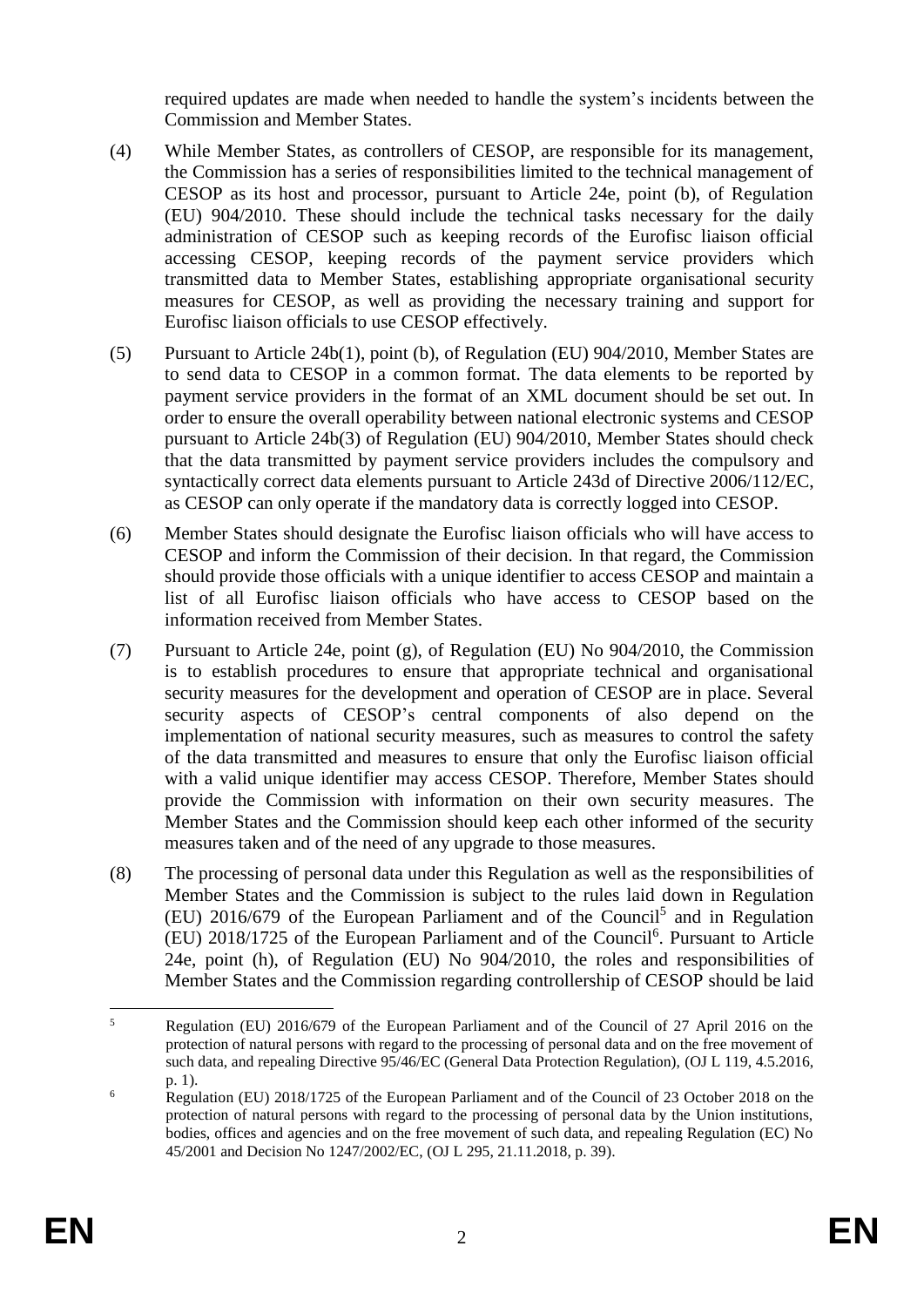required updates are made when needed to handle the system's incidents between the Commission and Member States.

- (4) While Member States, as controllers of CESOP, are responsible for its management, the Commission has a series of responsibilities limited to the technical management of CESOP as its host and processor, pursuant to Article 24e, point (b), of Regulation (EU) 904/2010. These should include the technical tasks necessary for the daily administration of CESOP such as keeping records of the Eurofisc liaison official accessing CESOP, keeping records of the payment service providers which transmitted data to Member States, establishing appropriate organisational security measures for CESOP, as well as providing the necessary training and support for Eurofisc liaison officials to use CESOP effectively.
- (5) Pursuant to Article 24b(1), point (b), of Regulation (EU) 904/2010, Member States are to send data to CESOP in a common format. The data elements to be reported by payment service providers in the format of an XML document should be set out. In order to ensure the overall operability between national electronic systems and CESOP pursuant to Article 24b(3) of Regulation (EU) 904/2010, Member States should check that the data transmitted by payment service providers includes the compulsory and syntactically correct data elements pursuant to Article 243d of Directive 2006/112/EC, as CESOP can only operate if the mandatory data is correctly logged into CESOP.
- (6) Member States should designate the Eurofisc liaison officials who will have access to CESOP and inform the Commission of their decision. In that regard, the Commission should provide those officials with a unique identifier to access CESOP and maintain a list of all Eurofisc liaison officials who have access to CESOP based on the information received from Member States.
- (7) Pursuant to Article 24e, point (g), of Regulation (EU) No 904/2010, the Commission is to establish procedures to ensure that appropriate technical and organisational security measures for the development and operation of CESOP are in place. Several security aspects of CESOP's central components of also depend on the implementation of national security measures, such as measures to control the safety of the data transmitted and measures to ensure that only the Eurofisc liaison official with a valid unique identifier may access CESOP. Therefore, Member States should provide the Commission with information on their own security measures. The Member States and the Commission should keep each other informed of the security measures taken and of the need of any upgrade to those measures.
- (8) The processing of personal data under this Regulation as well as the responsibilities of Member States and the Commission is subject to the rules laid down in Regulation  $(EU)$  2016/679 of the European Parliament and of the Council<sup>5</sup> and in Regulation (EU) 2018/1725 of the European Parliament and of the Council<sup>6</sup> . Pursuant to Article 24e, point (h), of Regulation (EU) No 904/2010, the roles and responsibilities of Member States and the Commission regarding controllership of CESOP should be laid

<sup>1</sup> <sup>5</sup> Regulation (EU) 2016/679 of the European Parliament and of the Council of 27 April 2016 on the protection of natural persons with regard to the processing of personal data and on the free movement of such data, and repealing Directive 95/46/EC (General Data Protection Regulation), (OJ L 119, 4.5.2016, p. 1).

 $\frac{6}{100}$  Regulation (EU) 2018/1725 of the European Parliament and of the Council of 23 October 2018 on the protection of natural persons with regard to the processing of personal data by the Union institutions, bodies, offices and agencies and on the free movement of such data, and repealing Regulation (EC) No 45/2001 and Decision No 1247/2002/EC, (OJ L 295, 21.11.2018, p. 39).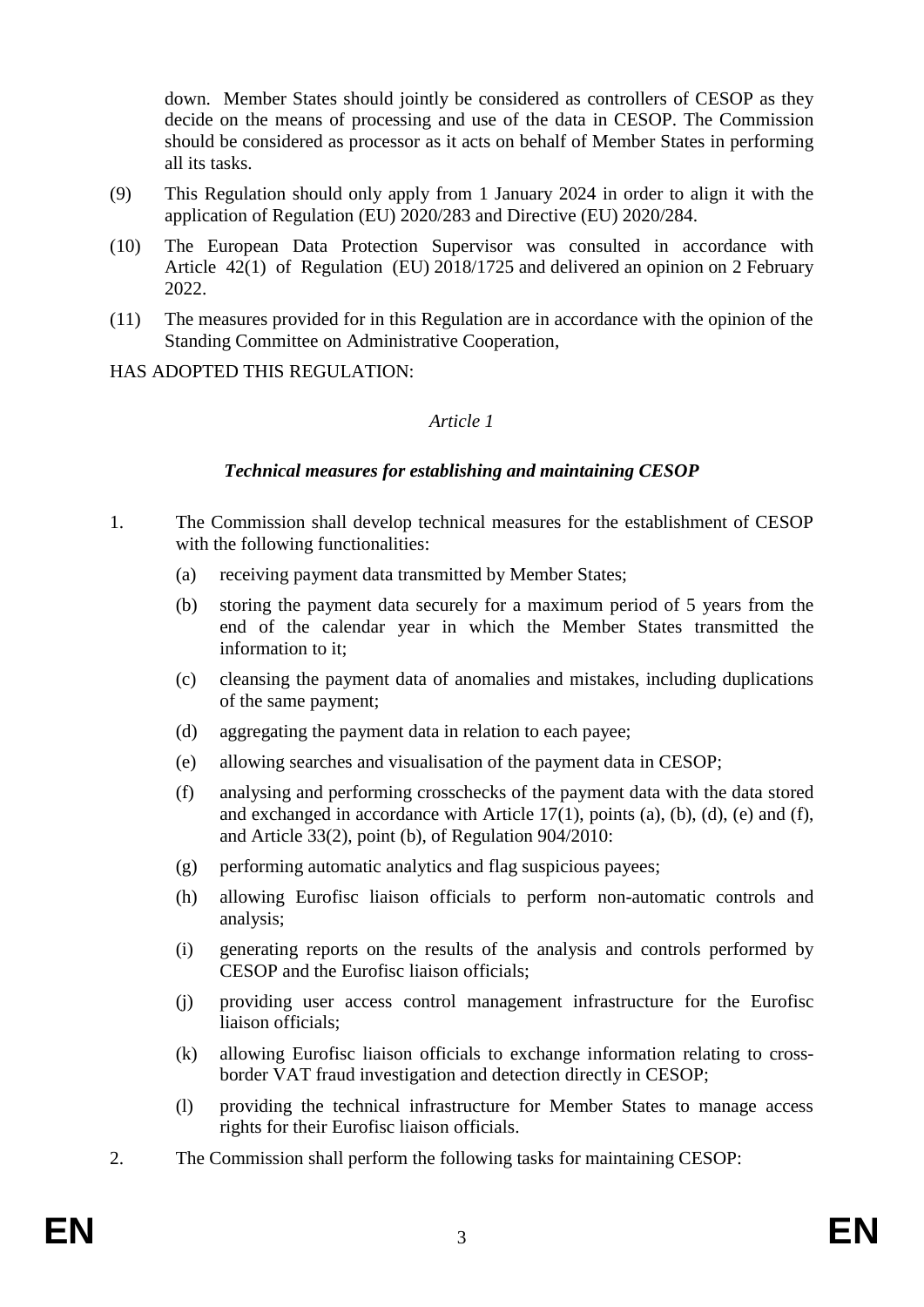down. Member States should jointly be considered as controllers of CESOP as they decide on the means of processing and use of the data in CESOP. The Commission should be considered as processor as it acts on behalf of Member States in performing all its tasks.

- (9) This Regulation should only apply from 1 January 2024 in order to align it with the application of Regulation (EU) 2020/283 and Directive (EU) 2020/284.
- (10) The European Data Protection Supervisor was consulted in accordance with Article 42(1) of Regulation (EU) 2018/1725 and delivered an opinion on 2 February 2022.
- (11) The measures provided for in this Regulation are in accordance with the opinion of the Standing Committee on Administrative Cooperation,

HAS ADOPTED THIS REGULATION:

#### *Article 1*

### *Technical measures for establishing and maintaining CESOP*

- 1. The Commission shall develop technical measures for the establishment of CESOP with the following functionalities:
	- (a) receiving payment data transmitted by Member States;
	- (b) storing the payment data securely for a maximum period of 5 years from the end of the calendar year in which the Member States transmitted the information to it;
	- (c) cleansing the payment data of anomalies and mistakes, including duplications of the same payment;
	- (d) aggregating the payment data in relation to each payee;
	- (e) allowing searches and visualisation of the payment data in CESOP;
	- (f) analysing and performing crosschecks of the payment data with the data stored and exchanged in accordance with Article  $17(1)$ , points (a), (b), (d), (e) and (f), and Article 33(2), point (b), of Regulation 904/2010:
	- (g) performing automatic analytics and flag suspicious payees;
	- (h) allowing Eurofisc liaison officials to perform non-automatic controls and analysis;
	- (i) generating reports on the results of the analysis and controls performed by CESOP and the Eurofisc liaison officials;
	- (j) providing user access control management infrastructure for the Eurofisc liaison officials;
	- (k) allowing Eurofisc liaison officials to exchange information relating to crossborder VAT fraud investigation and detection directly in CESOP;
	- (l) providing the technical infrastructure for Member States to manage access rights for their Eurofisc liaison officials.
- 2. The Commission shall perform the following tasks for maintaining CESOP: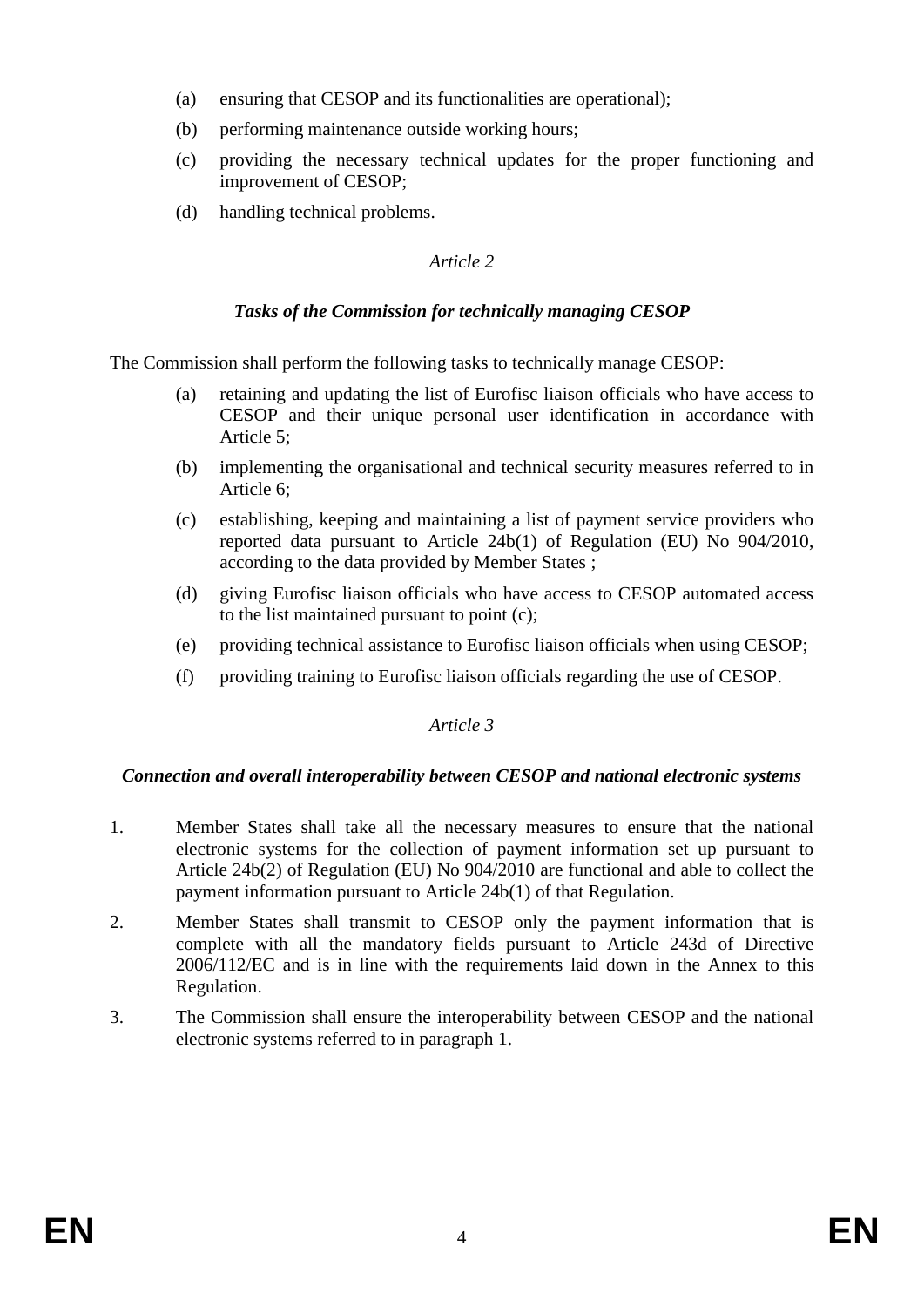- (a) ensuring that CESOP and its functionalities are operational);
- (b) performing maintenance outside working hours;
- (c) providing the necessary technical updates for the proper functioning and improvement of CESOP;
- (d) handling technical problems.

# *Tasks of the Commission for technically managing CESOP*

The Commission shall perform the following tasks to technically manage CESOP:

- (a) retaining and updating the list of Eurofisc liaison officials who have access to CESOP and their unique personal user identification in accordance with Article 5;
- (b) implementing the organisational and technical security measures referred to in Article 6;
- (c) establishing, keeping and maintaining a list of payment service providers who reported data pursuant to Article 24b(1) of Regulation (EU) No 904/2010, according to the data provided by Member States ;
- (d) giving Eurofisc liaison officials who have access to CESOP automated access to the list maintained pursuant to point (c);
- (e) providing technical assistance to Eurofisc liaison officials when using CESOP;
- (f) providing training to Eurofisc liaison officials regarding the use of CESOP.

# *Article 3*

### *Connection and overall interoperability between CESOP and national electronic systems*

- 1. Member States shall take all the necessary measures to ensure that the national electronic systems for the collection of payment information set up pursuant to Article 24b(2) of Regulation (EU) No 904/2010 are functional and able to collect the payment information pursuant to Article 24b(1) of that Regulation.
- 2. Member States shall transmit to CESOP only the payment information that is complete with all the mandatory fields pursuant to Article 243d of Directive 2006/112/EC and is in line with the requirements laid down in the Annex to this Regulation.
- 3. The Commission shall ensure the interoperability between CESOP and the national electronic systems referred to in paragraph 1.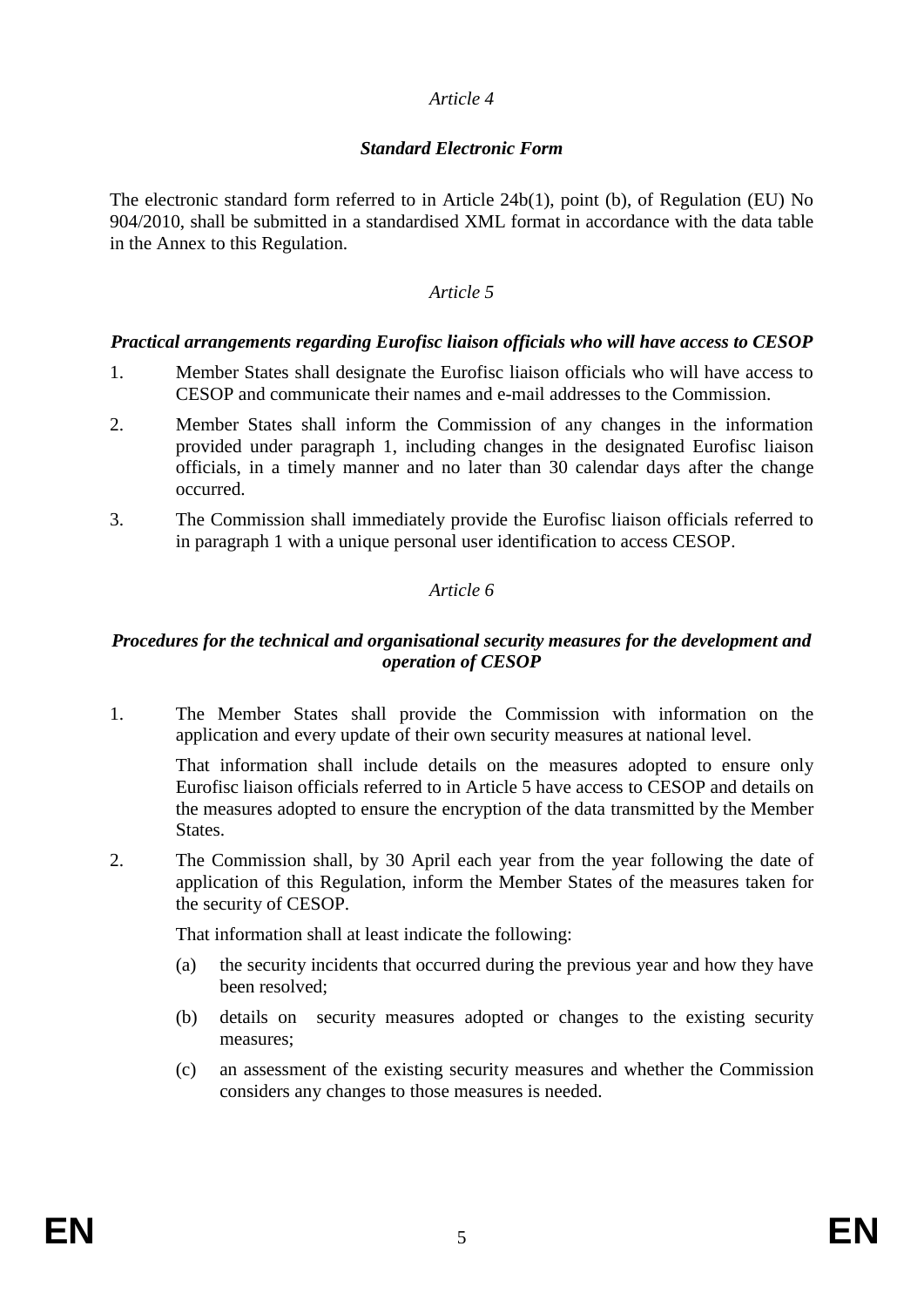# *Standard Electronic Form*

The electronic standard form referred to in Article 24b(1), point (b), of Regulation (EU) No 904/2010, shall be submitted in a standardised XML format in accordance with the data table in the Annex to this Regulation.

### *Article 5*

### *Practical arrangements regarding Eurofisc liaison officials who will have access to CESOP*

- 1. Member States shall designate the Eurofisc liaison officials who will have access to CESOP and communicate their names and e-mail addresses to the Commission.
- 2. Member States shall inform the Commission of any changes in the information provided under paragraph 1, including changes in the designated Eurofisc liaison officials, in a timely manner and no later than 30 calendar days after the change occurred.
- 3. The Commission shall immediately provide the Eurofisc liaison officials referred to in paragraph 1 with a unique personal user identification to access CESOP.

# *Article 6*

### *Procedures for the technical and organisational security measures for the development and operation of CESOP*

1. The Member States shall provide the Commission with information on the application and every update of their own security measures at national level.

That information shall include details on the measures adopted to ensure only Eurofisc liaison officials referred to in Article 5 have access to CESOP and details on the measures adopted to ensure the encryption of the data transmitted by the Member States.

2. The Commission shall, by 30 April each year from the year following the date of application of this Regulation, inform the Member States of the measures taken for the security of CESOP.

That information shall at least indicate the following:

- (a) the security incidents that occurred during the previous year and how they have been resolved;
- (b) details on security measures adopted or changes to the existing security measures;
- (c) an assessment of the existing security measures and whether the Commission considers any changes to those measures is needed.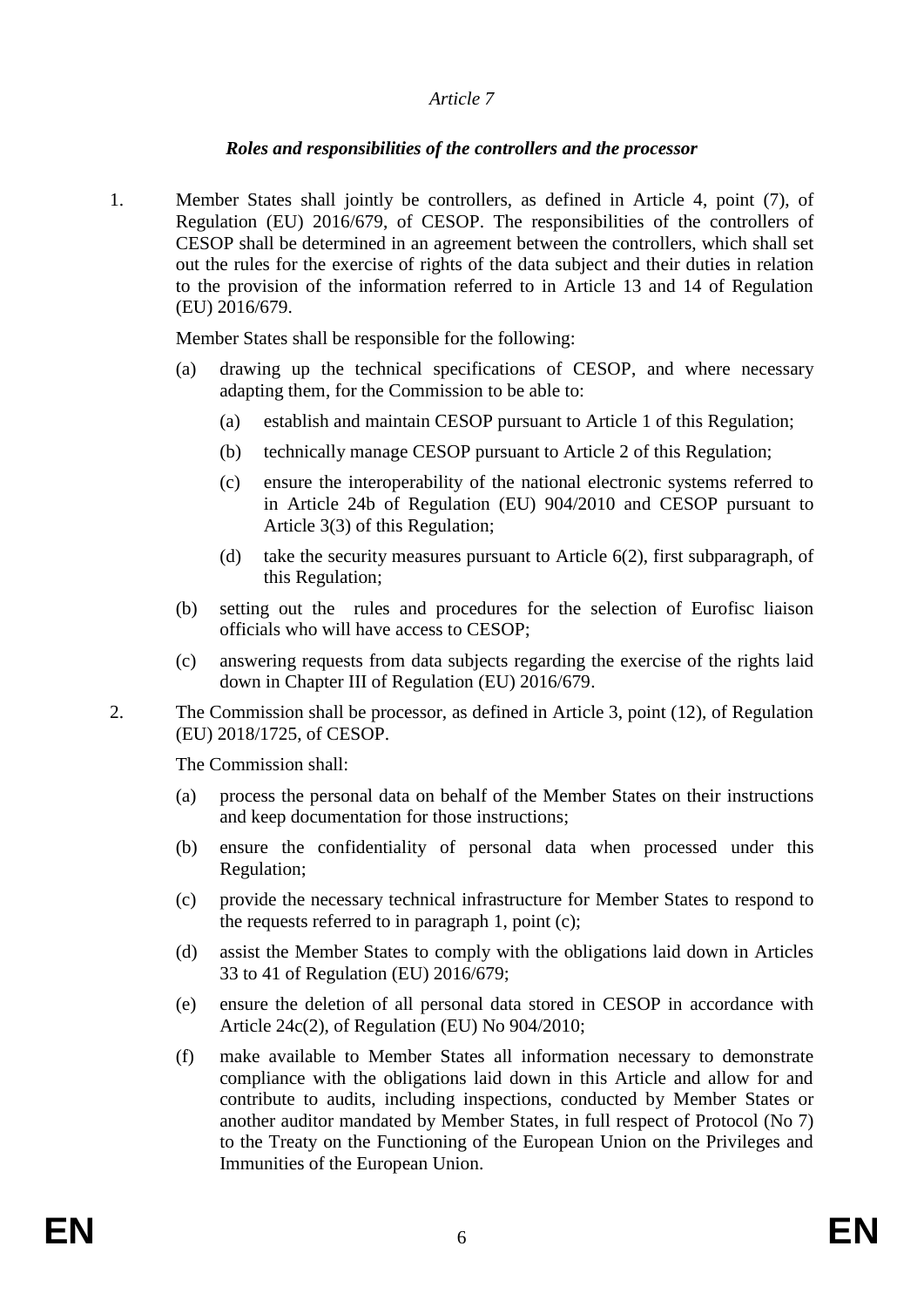# *Roles and responsibilities of the controllers and the processor*

1. Member States shall jointly be controllers, as defined in Article 4, point (7), of Regulation (EU) 2016/679, of CESOP. The responsibilities of the controllers of CESOP shall be determined in an agreement between the controllers, which shall set out the rules for the exercise of rights of the data subject and their duties in relation to the provision of the information referred to in Article 13 and 14 of Regulation (EU) 2016/679.

Member States shall be responsible for the following:

- (a) drawing up the technical specifications of CESOP, and where necessary adapting them, for the Commission to be able to:
	- (a) establish and maintain CESOP pursuant to Article 1 of this Regulation;
	- (b) technically manage CESOP pursuant to Article 2 of this Regulation;
	- (c) ensure the interoperability of the national electronic systems referred to in Article 24b of Regulation (EU) 904/2010 and CESOP pursuant to Article 3(3) of this Regulation;
	- (d) take the security measures pursuant to Article 6(2), first subparagraph, of this Regulation;
- (b) setting out the rules and procedures for the selection of Eurofisc liaison officials who will have access to CESOP;
- (c) answering requests from data subjects regarding the exercise of the rights laid down in Chapter III of Regulation (EU) 2016/679.
- 2. The Commission shall be processor, as defined in Article 3, point (12), of Regulation (EU) 2018/1725, of CESOP.

The Commission shall:

- (a) process the personal data on behalf of the Member States on their instructions and keep documentation for those instructions;
- (b) ensure the confidentiality of personal data when processed under this Regulation;
- (c) provide the necessary technical infrastructure for Member States to respond to the requests referred to in paragraph 1, point (c);
- (d) assist the Member States to comply with the obligations laid down in Articles 33 to 41 of Regulation (EU) 2016/679;
- (e) ensure the deletion of all personal data stored in CESOP in accordance with Article 24c(2), of Regulation (EU) No 904/2010;
- (f) make available to Member States all information necessary to demonstrate compliance with the obligations laid down in this Article and allow for and contribute to audits, including inspections, conducted by Member States or another auditor mandated by Member States, in full respect of Protocol (No 7) to the Treaty on the Functioning of the European Union on the Privileges and Immunities of the European Union.